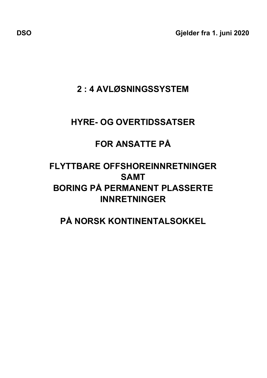**DSO Gjelder fra 1. juni 2020**

### **2 : 4 AVLØSNINGSSYSTEM**

## **HYRE- OG OVERTIDSSATSER**

# **FOR ANSATTE PÅ**

# **SAMT FLYTTBARE OFFSHOREINNRETNINGER BORING PÅ PERMANENT PLASSERTE INNRETNINGER**

**PÅ NORSK KONTINENTALSOKKEL**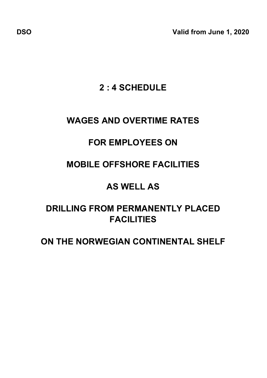**DSO Valid from June 1, 2020**

# **2 : 4 SCHEDULE**

# **WAGES AND OVERTIME RATES**

## **FOR EMPLOYEES ON**

# **MOBILE OFFSHORE FACILITIES**

# **AS WELL AS**

# **DRILLING FROM PERMANENTLY PLACED FACILITIES**

# **ON THE NORWEGIAN CONTINENTAL SHELF**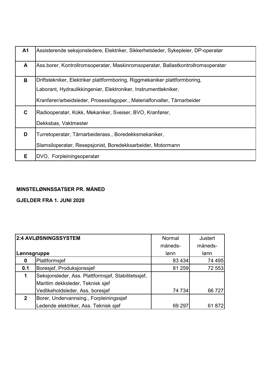| A <sub>1</sub> | Assisterende seksjonsledere, Elektriker, Sikkerhetsleder, Sykepleier, DP-operatør |
|----------------|-----------------------------------------------------------------------------------|
| A              | Ass.borer, Kontrollromsoperatør, Maskinromsoperatør, Ballastkontrollromsoperatør  |
| B              | Driftstekniker, Elektriker plattformboring, Riggmekaniker plattformboring,        |
|                | Laborant, Hydraulikkingeniør, Elektroniker, Instrumenttekniker,                   |
|                | Kranfører/arbeidsleder, Prosessfagoper., Materialforvalter, Tårnarbeider          |
| C              | Radiooperatør, Kokk, Mekaniker, Sveiser, BVO, Kranfører,                          |
|                | Dekksbas, Vaktmester                                                              |
| D              | Turretoperatør, Tårnarbeiderass., Boredekksmekaniker,                             |
|                | Slamsiloperatør, Resepsjonist, Boredekksarbeider, Motormann                       |
| Е              | DVO, Forpleiningsoperatør                                                         |

### **MINSTELØNNSSATSER PR. MÅNED**

#### **GJELDER FRA 1. JUNI 2020**

|              | <b>2:4 AVLØSNINGSSYSTEM</b>                         | Normal  | <b>Justert</b> |  |
|--------------|-----------------------------------------------------|---------|----------------|--|
|              |                                                     | måneds- | måneds-        |  |
| Lønnsgruppe  |                                                     | lønn    | lønn           |  |
| 0            | Plattformsjef                                       | 83 434  | 74 495         |  |
| 0.1          | Boresjef, Produksjonssjef                           | 81 259  | 72 553         |  |
| 1            | Seksjonsleder, Ass. Plattformsjef, Stabilitetssjef, |         |                |  |
|              | Maritim dekksleder, Teknisk sjef                    |         |                |  |
|              | Vedlikeholdsleder, Ass. boresjef                    | 74 734  | 66 727         |  |
| $\mathbf{2}$ | Borer, Undervannsing., Forpleiningssjef             |         |                |  |
|              | Ledende elektriker, Ass. Teknisk sjef               | 69 297  | 61 872         |  |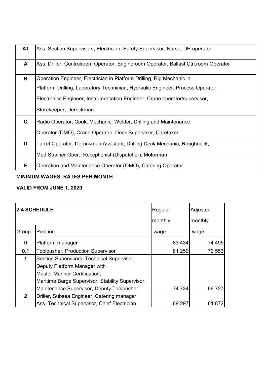| A <sub>1</sub> | Ass. Section Supervisors, Electrician, Safety Supervisor, Nurse, DP-operator        |  |  |  |  |  |  |
|----------------|-------------------------------------------------------------------------------------|--|--|--|--|--|--|
| A              | Ass. Driller, Controlroom Operator, Engineroom Operator, Ballast Ctrl.room Operator |  |  |  |  |  |  |
| B              | Operation Engineer, Electrician in Platform Drilling, Rig Mechanic in               |  |  |  |  |  |  |
|                | Platform Drilling, Laboratory Technician, Hydraulic Engineer, Process Operator,     |  |  |  |  |  |  |
|                | Electronics Engineer, Instrumentation Engineer, Crane operator/supervisor,          |  |  |  |  |  |  |
|                | Storekeeper, Derrickman                                                             |  |  |  |  |  |  |
| C              | Radio Operator, Cook, Mechanic, Welder, Drilling and Maintenance                    |  |  |  |  |  |  |
|                | Operator (DMO), Crane Operator, Deck Supervisor, Caretaker                          |  |  |  |  |  |  |
| D              | Turret Operator, Derrickman Assistant, Drilling Deck Mechanic, Roughneck,           |  |  |  |  |  |  |
|                | Mud Strainer Oper., Receptionist (Dispatcher), Motorman                             |  |  |  |  |  |  |
| Е              | Operation and Maintenance Operator (OMO), Catering Operator                         |  |  |  |  |  |  |

### **MINIMUM WAGES, RATES PER MONTH**

### **VALID FROM JUNE 1, 2020**

| <b>2:4 SCHEDULE</b> |                                                  | Regular | Adjusted |  |
|---------------------|--------------------------------------------------|---------|----------|--|
|                     |                                                  | monthly | monthly  |  |
| Group               | Position                                         | wage    | wage     |  |
| 0                   | 83 4 34<br>Platform manager                      |         | 74 495   |  |
| 0.1                 | <b>Toolpusher, Production Supervisor</b>         | 81 259  | 72 553   |  |
| 1                   | Section Supervisors, Technical Supervisor,       |         |          |  |
|                     | Deputy Platform Manager with                     |         |          |  |
|                     | <b>Master Mariner Certification,</b>             |         |          |  |
|                     | Maritime Barge Supervisor, Stability Supervisor, |         |          |  |
|                     | Maintenance Supervisor, Deputy Toolpusher        | 74 734  | 66727    |  |
| $\mathbf{2}$        | Driller, Subsea Engineer; Catering manager       |         |          |  |
|                     | Ass. Technical Supervisor, Chief Electrician     | 69 297  | 61872    |  |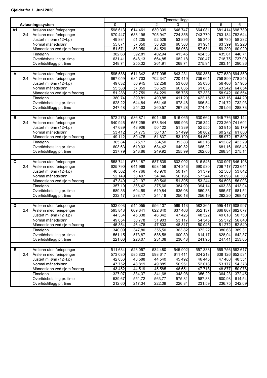|    |     |                                                  | Tjenestetillegg   |                  |                  |                 |                  |                  |                  |
|----|-----|--------------------------------------------------|-------------------|------------------|------------------|-----------------|------------------|------------------|------------------|
|    |     | Avløsningssystem                                 | 0                 | 1                | 2                | 3               | 4                | 5                | 6                |
| A1 |     | Årslønn uten feriepenger                         | 598 613           | 614 461          | 630 309          | 646 747         | 664 081          |                  | 681 414 698 789  |
|    | 2:4 | Årslønn med feriepenger                          | 670 447           | 688 196          | 705 947          | 724 356         | 743 770          | 763 184          | 782 644          |
|    |     | Justert m.lønn (12+f.p)                          | 49884             | 51 205           | 52 526           | 53 896          | 55 340           | 56 785           | 58 232           |
|    |     | Normal månedslønn                                | 55 871            | 57 350           | 58 829           | 60 363          | 61981            | 63 599           | 65 220           |
|    |     | Månedslønn ved sjøm.fradrag                      | 51 571            | 53 050           | 54 529           | 56 063          | 57 681           | 59 299           | 60 920           |
|    |     | Timelønn                                         | 382,68            | 392,81           | 402,94           | 413,45          | 424,53           | 435,61           | 446,71           |
|    |     | Overtidsbetaling pr. time                        | 631,41            | 648,13           | 664,85           | 682,18          | 700,47           | 718,75           | 737,08           |
|    |     | Overtidstillegg pr. time                         | 248,74            | 255,32           | 261,91           | 268,74          | 275,94           | 283,14           | 290,36           |
|    |     |                                                  |                   |                  |                  |                 |                  |                  |                  |
| A  |     | Årslønn uten feriepenger                         | 595 588           | 611 342          | 627 095          | 643 231         | 660 358          | 677 589          | 694 859          |
|    | 2:4 | Årslønn med feriepenger                          | 667 059           | 684 703          | 702 347          | 720 419         | 739 601          |                  | 758 899 778 243  |
|    |     | Justert m.lønn (12+f.p)                          | 49 632            | 50 945           | 52 258           | 53 603          | 55 030           | 56 466           | 57 905           |
|    |     | Normal månedslønn                                | 55 588            | 57 059           | 58 529           | 60 035          | 61 633           | 63 24 2          | 64 854           |
|    |     | Månedslønn ved sjøm.fradrag                      | 51 288            | 52759            | 54 229           | 55 7 35         | 57 333           | 58 942           | 60 554           |
|    |     | Timelønn                                         | 380,74            | 390,81           | 400,88           | 411,20          | 422,15           | 433,16           | 444,20           |
|    |     | Overtidsbetaling pr. time                        | 628,22            | 644,84           | 661,46           | 678,48          | 696,54           | 714,72           | 732,93           |
|    |     | Overtidstillegg pr. time                         | 247,48            | 254,03           | 260,57           | 267,28          | 274,40           | 281,56           | 288,73           |
|    |     |                                                  |                   |                  |                  |                 |                  |                  |                  |
| в  |     | Årslønn uten feriepenger                         | 572 273           | 586 871          | 601 468          | 616 065         | 630 662          |                  | 645 776 662 144  |
|    | 2:4 | Årslønn med feriepenger                          | 640 946           | 657 295          | 673 644          | 689 993         | 706 342          |                  | 723 269 741 601  |
|    |     | Justert m.lønn (12+f.p)                          | 47 689            | 48 906           | 50 122           | 51 339          | 52 555           | 53 815           | 55 179           |
|    |     | Normal månedslønn                                | 53 412            | 54 775           | 56 137           | 57 499          | 58 862           | 60 272           | 61 800           |
|    |     | Månedslønn ved sjøm.fradrag                      | 49 112            | 50 4 75          | 51 837           | 53 199          | 54 562           | 55 972           | 57 500           |
|    |     | Timelønn                                         | 365,84            | 375,17           | 384,50           | 393,83          | 403,16           | 412,82           | 423,29           |
|    |     | Overtidsbetaling pr. time                        | 603,63            | 619,03           | 634,42           | 649,82          | 665,22           | 681,16           | 698,43           |
|    |     | Overtidstillegg pr. time                         | 237,79            | 243,86           | 249,92           | 255,99          | 262,06           | 268,34           | 275,14           |
|    |     |                                                  |                   |                  |                  |                 |                  |                  |                  |
| C  |     | Årslønn uten feriepenger                         | 558741            | 573 187          | 587 639          | 602 092         | 616 545          |                  | 630 997 646 108  |
|    | 2:4 | Årslønn med feriepenger                          | 625 790           | 641 969          | 658 156          | 674 343         | 690 530          | 706 717          | 723 641          |
|    |     | Justert m.lønn (12+f.p)                          | 46 562            | 47 766           | 48 970           | 50 174          | 51 379           | 52 583           | 53 842           |
|    |     | Normal månedslønn                                | 52 149            | 53 497           | 54 846           | 56 195          | 57 544           | 58 893           | 60 30 3          |
|    |     | Månedslønn ved sjøm.fradrag                      | 47849             | 49 197           | 50 546           | 51895           | 53 244           | 54 593           | 56 003           |
|    |     | Timelønn                                         | 357,19            | 366,42           | 375,66           | 384,90          | 394,14           | 403,38           | 413,04           |
|    |     | Overtidsbetaling pr. time                        | 589,36            | 604,59           | 619,84           | 635,08          | 650,33           | 665,57           | 681,51           |
|    |     | Overtidstillegg pr. time                         | 232,17            | 238,17           | 244,18           | 250,18          | 256,19           | 262,20           | 268,47           |
|    |     |                                                  |                   |                  |                  |                 |                  |                  |                  |
| D  |     | Årslønn uten feriepenger                         | 532 003           | 544 055          | 556 107          | 569 113         | 582 265          | 595 417          | 608 997          |
|    | 2:4 | Årslønn med feriepenger                          | 595 843           | 609 341          | 622 840          | 637 406         | 652 137          |                  | 666 867 682 077  |
|    |     | Justert m.lønn (12+f.p)                          | 44 334            | 45 338<br>50 778 | 46 342           | 47 4 26         | 48 522           | 49 618           | 50 750           |
|    |     | Normal månedslønn<br>Månedslønn ved sjøm.fradrag | 49 654<br>45 3 54 | 46 478           | 51 903<br>47 603 | 53 117<br>48817 | 54 345<br>50 045 | 55 572<br>51 272 | 56 840<br>52 540 |
|    |     | Timelønn                                         | 340,09            | 347,80           | 355,50           | 363,82          | 372,22           | 380,63           | 389,31           |
|    |     | Overtidsbetaling pr. time                        | 561,15            | 573,87           | 586,58           | 600,30          | 614,17           | 628,04           | 642,37           |
|    |     | Overtidstillegg pr. time                         |                   |                  |                  |                 |                  | 247,41           |                  |
|    |     |                                                  | 221,06            | 226,07           | 231,08           | 236,48          | 241,95           |                  | 253,05           |
| Е. |     | Årslønn uten feriepenger                         | 511 634           | 523 057          | 534 480          | 545 902         | 557 338          |                  | 569 756 582 617  |
|    | 2:4 | Årslønn med feriepenger                          | 573 030           | 585 823          | 598 617          | 611 411         | 624 218          |                  | 638 126 652 531  |
|    |     | Justert m.lønn (12+f.p)                          | 42 636            | 43 588           | 44 540           | 45 4 92         | 46 445           | 47 480           | 48 551           |
|    |     | Normal månedslønn                                | 47 752            | 48 819           | 49 885           | 50 951          | 52 018           | 53 177           | 54 378           |
|    |     | Månedslønn ved sjøm.fradrag                      | 43 4 52           | 44 519           | 45 585           | 46 651          | 47 718           | 48 877           | 50 078           |
|    |     | Timelønn                                         | 327,07            | 334,37           | 341,68           | 348,98          | 356,29           | 364,23           | 372,45           |
|    |     | Overtidsbetaling pr. time                        | 539,67            | 551,72           | 563,77           | 575,81          | 587,88           | 600,98           | 614,54           |
|    |     | Overtidstillegg pr. time                         | 212,60            | 217,34           | 222,09           | 226,84          | 231,59           | 236,75           | 242,09           |
|    |     |                                                  |                   |                  |                  |                 |                  |                  |                  |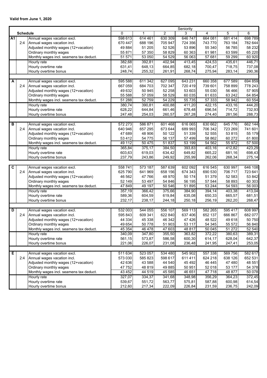|                 |     |                                                                   | Seniority |                   |                  |         |         |         |         |
|-----------------|-----|-------------------------------------------------------------------|-----------|-------------------|------------------|---------|---------|---------|---------|
| <b>Schedule</b> |     | 0                                                                 | 1         | 2                 | 3                | 4       | 5       | 6       |         |
| <b>A1</b>       |     | Annual wages vacation excl.                                       | 598 613   | 614 461           | 630 309          | 646747  | 664 081 | 681 414 | 698789  |
|                 | 2:4 | Annual wages vacation incl.                                       | 670 447   | 688 196           | 705 947          | 724 356 | 743 770 | 763 184 | 782 644 |
|                 |     | Adjusted monthly wages (12+vacation)                              | 49 884    | 51 205            | 52 526           | 53 896  | 55 340  | 56 785  | 58 232  |
|                 |     | Ordinary monthly wages                                            | 55 871    | 57 350            | 58 829           | 60 363  | 61981   | 63 599  | 65 2 20 |
|                 |     | Monthly wages incl. seamens tax deduct.                           | 51571     | 53 050            | 54 529           | 56063   | 57 681  | 59 299  | 60 920  |
|                 |     | Hourly rate                                                       | 382,68    | 392,81            | 402,94           | 413,45  | 424,53  | 435,61  | 446,71  |
|                 |     | Hourly overtime rate                                              | 631,41    | 648,13            | 664,85           | 682,18  | 700,47  | 718,75  | 737,08  |
|                 |     | Hourly overtime bonus                                             | 248,74    | 255,32            | 261,91           | 268,74  | 275,94  | 283,14  | 290,36  |
|                 |     |                                                                   |           |                   |                  |         |         |         |         |
| A               |     | Annual wages vacation excl.                                       | 595 588   | 611 342           | 627 095          | 643 231 | 660 358 | 677 589 | 694 859 |
|                 | 2:4 | Annual wages vacation incl.                                       | 667 059   | 684 703           | 702 347          | 720 419 | 739 601 | 758 899 | 778 243 |
|                 |     | Adjusted monthly wages (12+vacation)                              | 49 632    | 50 945            | 52 258           | 53 603  | 55 030  | 56 466  | 57 905  |
|                 |     | Ordinary monthly wages                                            | 55 588    | 57 059            | 58 529           | 60 035  | 61 633  | 63 24 2 | 64 854  |
|                 |     | Monthly wages incl. seamens tax deduct.                           | 51 288    | 52759             | 54 229           | 55 7 35 | 57 333  | 58942   | 60 554  |
|                 |     | Hourly rate                                                       | 380,74    | 390,81            | 400,88           | 411,20  | 422,15  | 433,16  | 444,20  |
|                 |     | Hourly overtime rate                                              | 628,22    | 644,84            | 661,46           | 678,48  | 696,54  | 714,72  | 732,93  |
|                 |     | Hourly overtime bonus                                             | 247,48    | 254,03            | 260,57           | 267,28  | 274,40  | 281,56  | 288,73  |
|                 |     |                                                                   |           |                   |                  |         |         |         |         |
| в               |     | Annual wages vacation excl.                                       | 572 273   | 586 871           | 601 468          | 616 065 | 630 662 | 645 776 | 662 144 |
|                 | 2:4 | Annual wages vacation incl.                                       | 640 946   | 657 295           | 673 644          | 689 993 | 706 342 | 723 269 | 741 601 |
|                 |     | Adjusted monthly wages (12+vacation)                              | 47 689    | 48 906            | 50 122           | 51 339  | 52 555  | 53 815  | 55 179  |
|                 |     | Ordinary monthly wages                                            | 53 412    | 54 775            | 56 137           | 57 499  | 58 862  | 60 272  | 61800   |
|                 |     | Monthly wages incl. seamens tax deduct.                           | 49 112    | 50 4 75           | 51 837           | 53 199  | 54 562  | 55 972  | 57 500  |
|                 |     | Hourly rate                                                       | 365,84    | 375,17            | 384,50           | 393,83  | 403,16  | 412,82  | 423,29  |
|                 |     | Hourly overtime rate                                              | 603,63    | 619,03            | 634,42           | 649,82  | 665,22  | 681,16  | 698,43  |
|                 |     | Hourly overtime bonus                                             | 237,79    | 243,86            | 249,92           | 255,99  | 262,06  | 268,34  | 275,14  |
|                 |     |                                                                   |           |                   |                  |         |         |         |         |
| С               |     | Annual wages vacation excl.                                       | 558 741   | 573 187           | 587 639          | 602 092 | 616 545 | 630 997 | 646 108 |
|                 | 2:4 | Annual wages vacation incl.                                       | 625 790   | 641 969           | 658 156          | 674 343 | 690 530 | 706 717 | 723 641 |
|                 |     | Adjusted monthly wages (12+vacation)                              | 46 562    | 47766             | 48 970           | 50 174  | 51 379  | 52 583  | 53 842  |
|                 |     | Ordinary monthly wages                                            | 52 149    | 53 497            | 54 846           | 56 195  | 57 544  | 58 893  | 60 303  |
|                 |     | Monthly wages incl. seamens tax deduct.                           | 47 849    | 49 197            | 50 546           | 51895   | 53 244  | 54 593  | 56 003  |
|                 |     | Hourly rate                                                       | 357,19    | 366,42            | 375,66           | 384,90  | 394,14  | 403,38  | 413,04  |
|                 |     | Hourly overtime rate                                              | 589,36    | 604,59            | 619,84           | 635,08  | 650,33  | 665,57  | 681,51  |
|                 |     | Hourly overtime bonus                                             | 232,17    | 238,17            | 244,18           | 250,18  | 256,19  | 262,20  | 268,47  |
|                 |     |                                                                   |           |                   |                  |         |         |         |         |
| D               |     | Annual wages vacation excl.                                       | 532 003   | 544 055           | 556 107          | 569 113 | 582 265 | 595 417 | 608 997 |
|                 | 2:4 | Annual wages vacation incl.                                       | 595 843   | 609 341           | 622 840          | 637 406 | 652 137 | 666 867 | 682 077 |
|                 |     | Adjusted monthly wages (12+vacation)                              | 44 334    | 45 338            | 46 342           | 47 4 26 | 48 522  | 49 618  | 50 750  |
|                 |     | Ordinary monthly wages                                            | 49 654    | 50 778            | 51 903           | 53 117  | 54 345  | 55 572  | 56 840  |
|                 |     | Monthly wages incl. seamens tax deduct.                           | 45 3 54   | 46 4 78           | 47 603           | 48817   | 50 045  | 51 272  | 52 540  |
|                 |     | Hourly rate                                                       | 340,09    | 347,80            | 355,50           | 363,82  | 372,22  | 380,63  | 389,31  |
|                 |     | Hourly overtime rate                                              | 561,15    | 573,87            | 586,58           | 600,30  | 614,17  | 628,04  | 642,37  |
|                 |     | Hourly overtime bonus                                             | 221,06    | 226,07            | 231,08           | 236,48  | 241,95  | 247,41  | 253,05  |
|                 |     |                                                                   |           |                   |                  |         |         |         |         |
| Е               |     | Annual wages vacation excl.                                       | 511 634   | 523 057           | 534 480          | 545 902 | 557 338 | 569 756 | 582 617 |
|                 | 2:4 | Annual wages vacation incl.                                       | 573 030   | 585 823           | 598 617          | 611411  | 624 218 | 638 126 | 652 531 |
|                 |     | Adjusted monthly wages (12+vacation)                              |           |                   |                  |         |         |         |         |
|                 |     |                                                                   | 42 636    | 43 588<br>48 8 19 | 44 540<br>49 885 | 45 4 92 | 46 445  | 47 480  | 48 551  |
|                 |     | Ordinary monthly wages<br>Monthly wages incl. seamens tax deduct. | 47 752    |                   | 45 5 85          | 50 951  | 52 018  | 53 177  | 54 378  |
|                 |     |                                                                   | 43 4 52   | 44 519            |                  | 46 651  | 47718   | 48 877  | 50 078  |
|                 |     | Hourly rate                                                       | 327,07    | 334,37            | 341,68           | 348,98  | 356,29  | 364,23  | 372,45  |
|                 |     | Hourly overtime rate                                              | 539,67    | 551,72            | 563,77           | 575,81  | 587,88  | 600,98  | 614,54  |
|                 |     | Hourly overtime bonus                                             | 212,60    | 217,34            | 222,09           | 226,84  | 231,59  | 236,75  | 242,09  |

#### **Valid from June 1, 2020**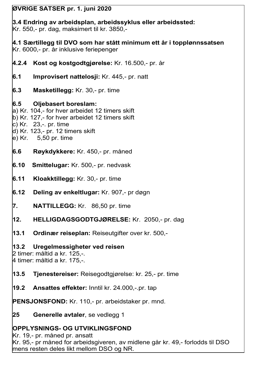### **ØVRIGE SATSER pr. 1. juni 2020**

#### **3.4 Endring av arbeidsplan, arbeidssyklus eller arbeidssted:** Kr. 550,- pr. dag, maksimert til kr. 3850,-

**4.1 Særtillegg til DVO som har stått minimum ett år i topplønnssatsen** Kr. 6000,- pr. år inklusive feriepenger

- **4.2.4 Kost og kostgodtgjørelse:** Kr. 16.500,- pr. år
- **6.1 Improvisert nattelosji:** Kr. 445,- pr. natt
- **6.3 Masketillegg:** Kr. 30,- pr. time

### **6.5 Oljebasert boreslam:**

- a) Kr. 104,- for hver arbeidet 12 timers skift
- b) Kr. 127,- for hver arbeidet 12 timers skift
- c) Kr. 23,-. pr. time
- d) Kr. 123,- pr. 12 timers skift
- e) Kr. 5,50 pr. time
- **6.6 Røykdykkere:** Kr. 450,- pr. måned
- **6.10 Smittelugar:** Kr. 500,- pr. nedvask
- **6.11 Kloakktillegg:** Kr. 30,- pr. time
- **6.12 Deling av enkeltlugar:** Kr. 907,- pr døgn
- **7. NATTILLEGG:** Kr. 86,50 pr. time
- **12. HELLIGDAGSGODTGJØRELSE:** Kr. 2050,- pr. dag
- **13.1 Ordinær reiseplan:** Reiseutgifter over kr. 500,-

### **13.2 Uregelmessigheter ved reisen**

2 timer: måltid a kr. 125,-. 4 timer: måltid a kr. 175,-.

- **13.5 Tjenestereiser:** Reisegodtgjørelse: kr. 25,- pr. time
- **19.2 Ansattes effekter:** Inntil kr. 24.000,-.pr. tap

**PENSJONSFOND:** Kr. 110,- pr. arbeidstaker pr. mnd.

**25 Generelle avtaler**, se vedlegg 1

### **OPPLYSNINGS- OG UTVIKLINGSFOND**

Kr. 19,- pr. måned pr. ansatt Kr. 95,- pr måned for arbeidsgiveren, av midlene går kr. 49,- forlodds til DSO mens resten deles likt mellom DSO og NR.